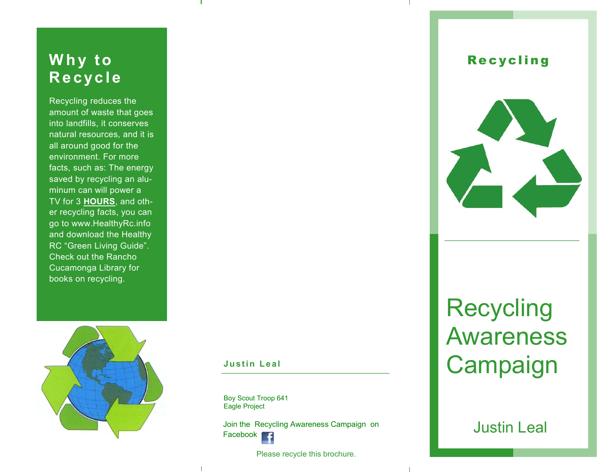### **Why to R e c yc l e**

Recycling reduces the amount of waste that goes into landfills, it conserves natural resources, and it is all around good for the environment. For more facts, such as: The energy saved by recycling an aluminum can will power a TV for 3 **HOURS**, and other recycling facts, you can go to www.HealthyRc.info and download the Healthy RC "Green Living Guide". Check out the Rancho Cucamonga Library for books on recycling.



#### **Justin Leal**

Boy Scout Troop 641 Eagle Project

Join the Recycling Awareness Campaign on Facebook **F** 

Please recycle this brochure.

#### **Recycling**



# Recycling Awareness **Campaign**

#### Justin Leal